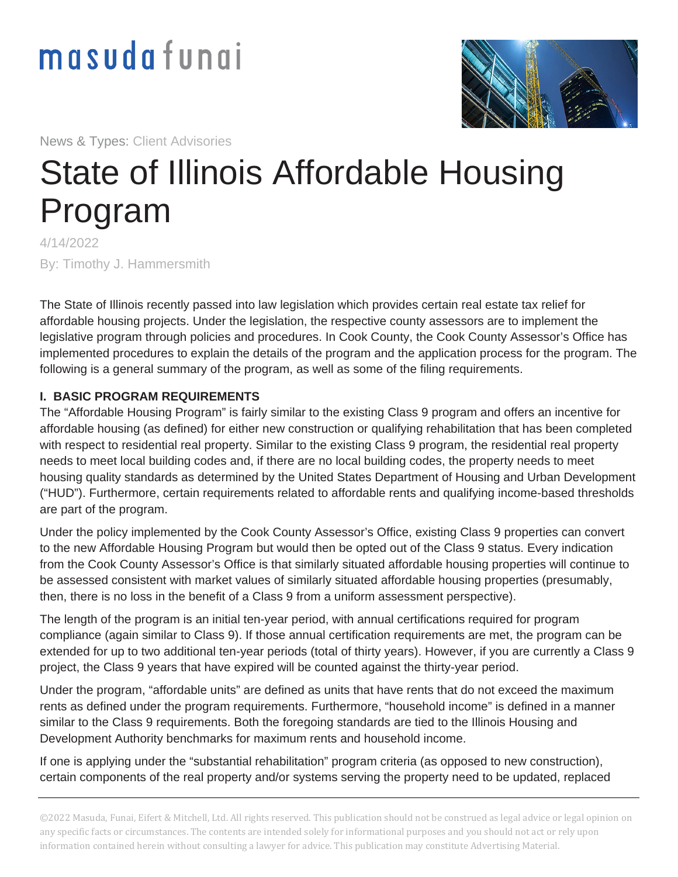# masudafungi



News & Types: Client Advisories

## State of Illinois Affordable Housing Program

4/14/2022 By: Timothy J. Hammersmith

The State of Illinois recently passed into law legislation which provides certain real estate tax relief for affordable housing projects. Under the legislation, the respective county assessors are to implement the legislative program through policies and procedures. In Cook County, the Cook County Assessor's Office has implemented procedures to explain the details of the program and the application process for the program. The following is a general summary of the program, as well as some of the filing requirements.

#### **I. BASIC PROGRAM REQUIREMENTS**

The "Affordable Housing Program" is fairly similar to the existing Class 9 program and offers an incentive for affordable housing (as defined) for either new construction or qualifying rehabilitation that has been completed with respect to residential real property. Similar to the existing Class 9 program, the residential real property needs to meet local building codes and, if there are no local building codes, the property needs to meet housing quality standards as determined by the United States Department of Housing and Urban Development ("HUD"). Furthermore, certain requirements related to affordable rents and qualifying income-based thresholds are part of the program.

Under the policy implemented by the Cook County Assessor's Office, existing Class 9 properties can convert to the new Affordable Housing Program but would then be opted out of the Class 9 status. Every indication from the Cook County Assessor's Office is that similarly situated affordable housing properties will continue to be assessed consistent with market values of similarly situated affordable housing properties (presumably, then, there is no loss in the benefit of a Class 9 from a uniform assessment perspective).

The length of the program is an initial ten-year period, with annual certifications required for program compliance (again similar to Class 9). If those annual certification requirements are met, the program can be extended for up to two additional ten-year periods (total of thirty years). However, if you are currently a Class 9 project, the Class 9 years that have expired will be counted against the thirty-year period.

Under the program, "affordable units" are defined as units that have rents that do not exceed the maximum rents as defined under the program requirements. Furthermore, "household income" is defined in a manner similar to the Class 9 requirements. Both the foregoing standards are tied to the Illinois Housing and Development Authority benchmarks for maximum rents and household income.

If one is applying under the "substantial rehabilitation" program criteria (as opposed to new construction), certain components of the real property and/or systems serving the property need to be updated, replaced

©2022 Masuda, Funai, Eifert & Mitchell, Ltd. All rights reserved. This publication should not be construed as legal advice or legal opinion on any specific facts or circumstances. The contents are intended solely for informational purposes and you should not act or rely upon information contained herein without consulting a lawyer for advice. This publication may constitute Advertising Material.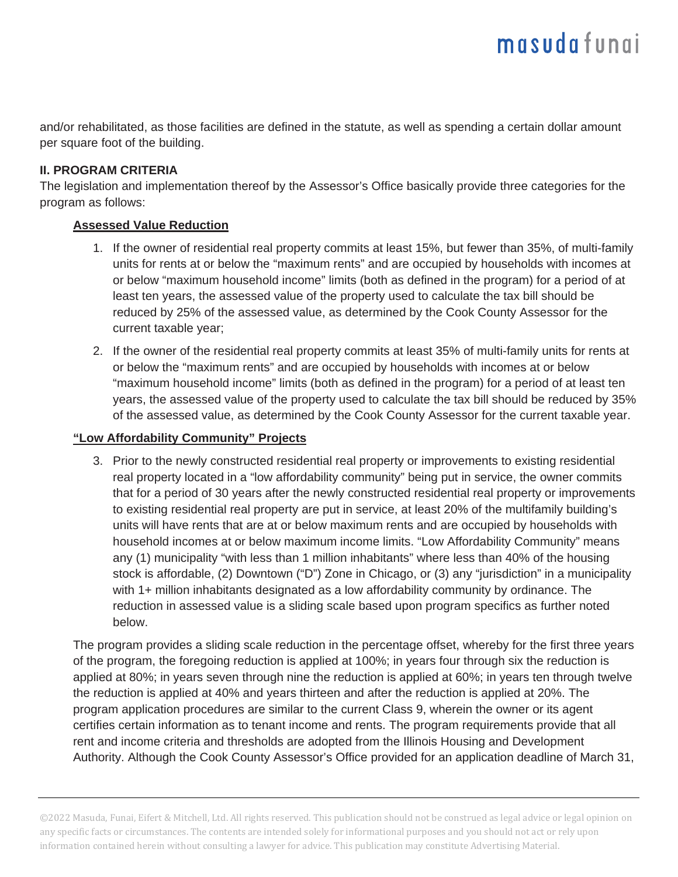and/or rehabilitated, as those facilities are defined in the statute, as well as spending a certain dollar amount per square foot of the building.

#### **II. PROGRAM CRITERIA**

The legislation and implementation thereof by the Assessor's Office basically provide three categories for the program as follows:

#### **Assessed Value Reduction**

- 1. If the owner of residential real property commits at least 15%, but fewer than 35%, of multi-family units for rents at or below the "maximum rents" and are occupied by households with incomes at or below "maximum household income" limits (both as defined in the program) for a period of at least ten years, the assessed value of the property used to calculate the tax bill should be reduced by 25% of the assessed value, as determined by the Cook County Assessor for the current taxable year;
- 2. If the owner of the residential real property commits at least 35% of multi-family units for rents at or below the "maximum rents" and are occupied by households with incomes at or below "maximum household income" limits (both as defined in the program) for a period of at least ten years, the assessed value of the property used to calculate the tax bill should be reduced by 35% of the assessed value, as determined by the Cook County Assessor for the current taxable year.

#### **"Low Affordability Community" Projects**

3. Prior to the newly constructed residential real property or improvements to existing residential real property located in a "low affordability community" being put in service, the owner commits that for a period of 30 years after the newly constructed residential real property or improvements to existing residential real property are put in service, at least 20% of the multifamily building's units will have rents that are at or below maximum rents and are occupied by households with household incomes at or below maximum income limits. "Low Affordability Community" means any (1) municipality "with less than 1 million inhabitants" where less than 40% of the housing stock is affordable, (2) Downtown ("D") Zone in Chicago, or (3) any "jurisdiction" in a municipality with 1+ million inhabitants designated as a low affordability community by ordinance. The reduction in assessed value is a sliding scale based upon program specifics as further noted below.

The program provides a sliding scale reduction in the percentage offset, whereby for the first three years of the program, the foregoing reduction is applied at 100%; in years four through six the reduction is applied at 80%; in years seven through nine the reduction is applied at 60%; in years ten through twelve the reduction is applied at 40% and years thirteen and after the reduction is applied at 20%. The program application procedures are similar to the current Class 9, wherein the owner or its agent certifies certain information as to tenant income and rents. The program requirements provide that all rent and income criteria and thresholds are adopted from the Illinois Housing and Development Authority. Although the Cook County Assessor's Office provided for an application deadline of March 31,

©2022 Masuda, Funai, Eifert & Mitchell, Ltd. All rights reserved. This publication should not be construed as legal advice or legal opinion on any specific facts or circumstances. The contents are intended solely for informational purposes and you should not act or rely upon information contained herein without consulting a lawyer for advice. This publication may constitute Advertising Material.